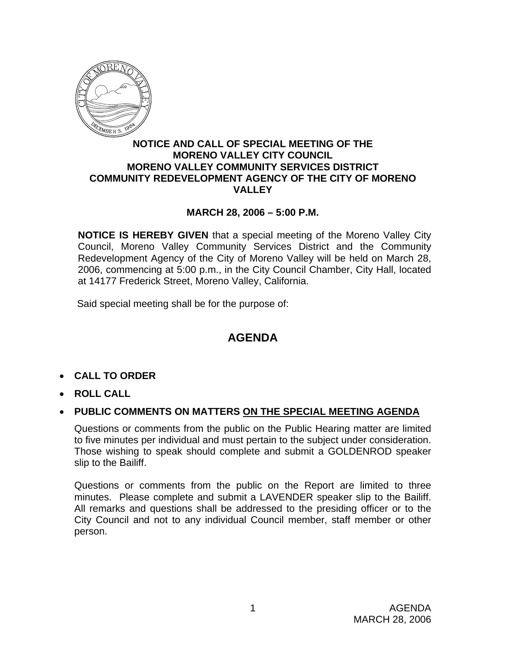

#### **NOTICE AND CALL OF SPECIAL MEETING OF THE MORENO VALLEY CITY COUNCIL MORENO VALLEY COMMUNITY SERVICES DISTRICT COMMUNITY REDEVELOPMENT AGENCY OF THE CITY OF MORENO VALLEY**

## **MARCH 28, 2006 – 5:00 P.M.**

**NOTICE IS HEREBY GIVEN** that a special meeting of the Moreno Valley City Council, Moreno Valley Community Services District and the Community Redevelopment Agency of the City of Moreno Valley will be held on March 28, 2006, commencing at 5:00 p.m., in the City Council Chamber, City Hall, located at 14177 Frederick Street, Moreno Valley, California.

Said special meeting shall be for the purpose of:

# **AGENDA**

- **CALL TO ORDER**
- **ROLL CALL**
- **PUBLIC COMMENTS ON MATTERS ON THE SPECIAL MEETING AGENDA**

Questions or comments from the public on the Public Hearing matter are limited to five minutes per individual and must pertain to the subject under consideration. Those wishing to speak should complete and submit a GOLDENROD speaker slip to the Bailiff.

Questions or comments from the public on the Report are limited to three minutes. Please complete and submit a LAVENDER speaker slip to the Bailiff. All remarks and questions shall be addressed to the presiding officer or to the City Council and not to any individual Council member, staff member or other person.